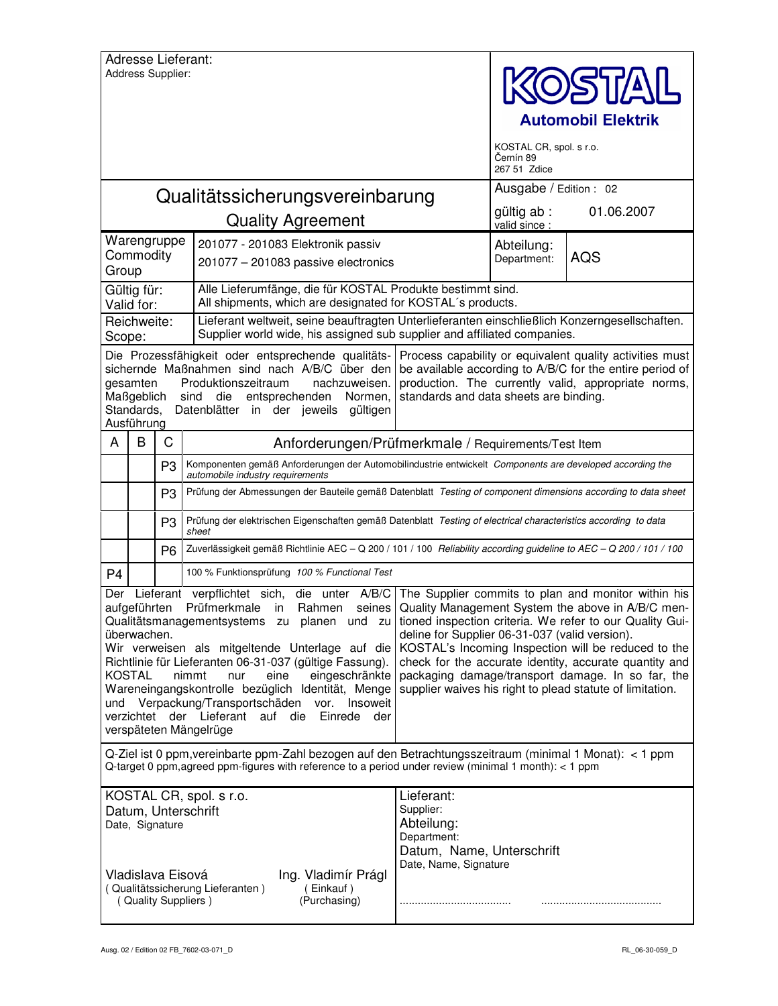|                                                                                                                                                                                                                                                                                                                                                                                                                                                                                                                                                                                                                                                                                                                                                                                                                                                                                                                                                                                                   | Address Supplier:                    |                | <b>Adresse Lieferant:</b>                                                                                                                                     |                                                                                                            | KOSTAI<br><b>Automobil Elektrik</b><br>KOSTAL CR, spol. s r.o.<br>Černín 89<br>267 51 Zdice |            |  |
|---------------------------------------------------------------------------------------------------------------------------------------------------------------------------------------------------------------------------------------------------------------------------------------------------------------------------------------------------------------------------------------------------------------------------------------------------------------------------------------------------------------------------------------------------------------------------------------------------------------------------------------------------------------------------------------------------------------------------------------------------------------------------------------------------------------------------------------------------------------------------------------------------------------------------------------------------------------------------------------------------|--------------------------------------|----------------|---------------------------------------------------------------------------------------------------------------------------------------------------------------|------------------------------------------------------------------------------------------------------------|---------------------------------------------------------------------------------------------|------------|--|
|                                                                                                                                                                                                                                                                                                                                                                                                                                                                                                                                                                                                                                                                                                                                                                                                                                                                                                                                                                                                   |                                      |                | Qualitätssicherungsvereinbarung                                                                                                                               |                                                                                                            | Ausgabe / Edition : 02                                                                      |            |  |
|                                                                                                                                                                                                                                                                                                                                                                                                                                                                                                                                                                                                                                                                                                                                                                                                                                                                                                                                                                                                   |                                      |                | <b>Quality Agreement</b>                                                                                                                                      |                                                                                                            | gültig ab :<br>valid since :                                                                | 01.06.2007 |  |
| Warengruppe<br>Commodity<br>Group                                                                                                                                                                                                                                                                                                                                                                                                                                                                                                                                                                                                                                                                                                                                                                                                                                                                                                                                                                 |                                      |                | 201077 - 201083 Elektronik passiv<br>201077 - 201083 passive electronics                                                                                      |                                                                                                            | Abteilung:<br>Department:                                                                   | <b>AQS</b> |  |
| Gültig für:<br>Valid for:                                                                                                                                                                                                                                                                                                                                                                                                                                                                                                                                                                                                                                                                                                                                                                                                                                                                                                                                                                         |                                      |                | Alle Lieferumfänge, die für KOSTAL Produkte bestimmt sind.<br>All shipments, which are designated for KOSTAL's products.                                      |                                                                                                            |                                                                                             |            |  |
| Reichweite:<br>Scope:                                                                                                                                                                                                                                                                                                                                                                                                                                                                                                                                                                                                                                                                                                                                                                                                                                                                                                                                                                             |                                      |                | Supplier world wide, his assigned sub supplier and affiliated companies.                                                                                      | Lieferant weltweit, seine beauftragten Unterlieferanten einschließlich Konzerngesellschaften.              |                                                                                             |            |  |
| Die Prozessfähigkeit oder entsprechende qualitäts-<br>Process capability or equivalent quality activities must<br>sichernde Maßnahmen sind nach A/B/C über den<br>be available according to A/B/C for the entire period of<br>production. The currently valid, appropriate norms,<br>gesamten<br>Produktionszeitraum<br>nachzuweisen.<br>Maßgeblich<br>sind<br>entsprechenden Normen,<br>standards and data sheets are binding.<br>die<br>Standards,<br>Datenblätter in der jeweils gültigen<br>Ausführung                                                                                                                                                                                                                                                                                                                                                                                                                                                                                        |                                      |                |                                                                                                                                                               |                                                                                                            |                                                                                             |            |  |
| A                                                                                                                                                                                                                                                                                                                                                                                                                                                                                                                                                                                                                                                                                                                                                                                                                                                                                                                                                                                                 | B                                    | C              | Anforderungen/Prüfmerkmale / Requirements/Test Item                                                                                                           |                                                                                                            |                                                                                             |            |  |
|                                                                                                                                                                                                                                                                                                                                                                                                                                                                                                                                                                                                                                                                                                                                                                                                                                                                                                                                                                                                   |                                      | P <sub>3</sub> | Komponenten gemäß Anforderungen der Automobilindustrie entwickelt Components are developed according the<br>automobile industry requirements                  |                                                                                                            |                                                                                             |            |  |
|                                                                                                                                                                                                                                                                                                                                                                                                                                                                                                                                                                                                                                                                                                                                                                                                                                                                                                                                                                                                   |                                      | P <sub>3</sub> | Prüfung der Abmessungen der Bauteile gemäß Datenblatt Testing of component dimensions according to data sheet                                                 |                                                                                                            |                                                                                             |            |  |
|                                                                                                                                                                                                                                                                                                                                                                                                                                                                                                                                                                                                                                                                                                                                                                                                                                                                                                                                                                                                   |                                      | P <sub>3</sub> | Prüfung der elektrischen Eigenschaften gemäß Datenblatt Testing of electrical characteristics according to data<br>sheet                                      |                                                                                                            |                                                                                             |            |  |
|                                                                                                                                                                                                                                                                                                                                                                                                                                                                                                                                                                                                                                                                                                                                                                                                                                                                                                                                                                                                   |                                      | P <sub>6</sub> | Zuverlässigkeit gemäß Richtlinie AEC - Q 200 / 101 / 100 Reliability according guideline to AEC - Q 200 / 101 / 100                                           |                                                                                                            |                                                                                             |            |  |
| P <sub>4</sub>                                                                                                                                                                                                                                                                                                                                                                                                                                                                                                                                                                                                                                                                                                                                                                                                                                                                                                                                                                                    |                                      |                | 100 % Funktionsprüfung 100 % Functional Test                                                                                                                  |                                                                                                            |                                                                                             |            |  |
| The Supplier commits to plan and monitor within his<br>Lieferant verpflichtet sich, die unter A/B/C<br>Der<br>Prüfmerkmale in<br>aufgeführten<br>Rahmen<br>Quality Management System the above in A/B/C men-<br>seines<br>Qualitätsmanagementsystems zu planen und zu tioned inspection criteria. We refer to our Quality Gui-<br>deline for Supplier 06-31-037 (valid version).<br>überwachen.<br>Wir verweisen als mitgeltende Unterlage auf die<br>KOSTAL's Incoming Inspection will be reduced to the<br>Richtlinie für Lieferanten 06-31-037 (gültige Fassung).<br>check for the accurate identity, accurate quantity and<br><b>KOSTAL</b><br>packaging damage/transport damage. In so far, the<br>eine<br>eingeschränkte<br>nimmt<br>nur<br>supplier waives his right to plead statute of limitation.<br>Wareneingangskontrolle bezüglich Identität, Menge<br>Verpackung/Transportschäden vor. Insoweit<br>und<br>verzichtet der Lieferant auf die<br>Einrede der<br>verspäteten Mängelrüge |                                      |                |                                                                                                                                                               |                                                                                                            |                                                                                             |            |  |
| Q-Ziel ist 0 ppm, vereinbarte ppm-Zahl bezogen auf den Betrachtungsszeitraum (minimal 1 Monat): < 1 ppm<br>Q-target 0 ppm, agreed ppm-figures with reference to a period under review (minimal 1 month): < 1 ppm                                                                                                                                                                                                                                                                                                                                                                                                                                                                                                                                                                                                                                                                                                                                                                                  |                                      |                |                                                                                                                                                               |                                                                                                            |                                                                                             |            |  |
|                                                                                                                                                                                                                                                                                                                                                                                                                                                                                                                                                                                                                                                                                                                                                                                                                                                                                                                                                                                                   | Date, Signature<br>Vladislava Eisová |                | KOSTAL CR, spol. s r.o.<br>Datum, Unterschrift<br>Ing. Vladimír Prágl<br>(Qualitätssicherung Lieferanten)<br>(Einkauf)<br>(Quality Suppliers)<br>(Purchasing) | Lieferant:<br>Supplier:<br>Abteilung:<br>Department:<br>Datum, Name, Unterschrift<br>Date, Name, Signature |                                                                                             |            |  |